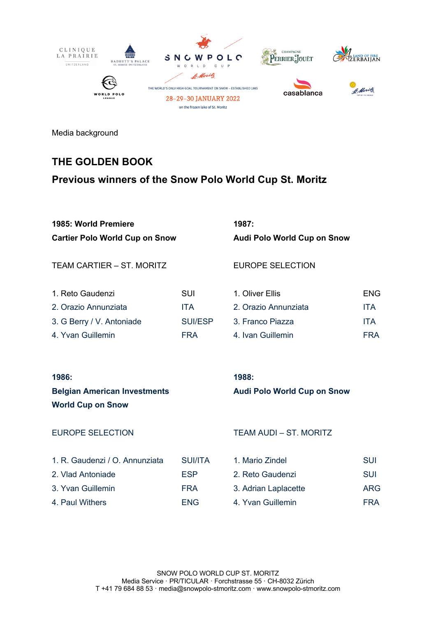

Media background

# **THE GOLDEN BOOK**

# **Previous winners of the Snow Polo World Cup St. Moritz**

| 1985: World Premiere | 1987: |
|----------------------|-------|
|                      |       |

**Cartier Polo World Cup on Snow Audi Polo World Cup on Snow**

TEAM CARTIER – ST. MORITZ EUROPE SELECTION

| 1. Reto Gaudenzi          | SUI        | 1. Oliver Ellis      | <b>ENG</b> |
|---------------------------|------------|----------------------|------------|
| 2. Orazio Annunziata      | <b>ITA</b> | 2. Orazio Annunziata | <b>ITA</b> |
| 3. G Berry / V. Antoniade | SUI/ESP    | 3. Franco Piazza     | <b>ITA</b> |
| 4. Yvan Guillemin         | FRA        | 4. Ivan Guillemin    | FRA        |

| 187: |  |  |  |
|------|--|--|--|
|      |  |  |  |

| 1. Reto Gaudenzi          | SUI        | 1. Oliver Ellis      | <b>ENG</b> |
|---------------------------|------------|----------------------|------------|
| 2. Orazio Annunziata      | <b>ITA</b> | 2. Orazio Annunziata | <b>ITA</b> |
| 3. G Berry / V. Antoniade | SUI/ESP    | 3. Franco Piazza     | <b>ITA</b> |
| 4. Yvan Guillemin         | <b>FRA</b> | 4. Ivan Guillemin    | <b>FRA</b> |

### **1986: 1988:**

**World Cup on Snow**

### **Belgian American Investments Audi Polo World Cup on Snow**

| 1. R. Gaudenzi / O. Annunziata | <b>SUI/ITA</b> | 1. Mario Zindel      | SUI        |
|--------------------------------|----------------|----------------------|------------|
| 2. Vlad Antoniade              | <b>FSP</b>     | 2. Reto Gaudenzi     | SUI        |
| 3. Yvan Guillemin              | <b>FRA</b>     | 3. Adrian Laplacette | ARG        |
| 4. Paul Withers                | ENG.           | 4. Yvan Guillemin    | <b>FRA</b> |

| 1. Mario Zindel      | SUI |
|----------------------|-----|
| 2. Reto Gaudenzi     | SUI |
| 3. Adrian Laplacette | ARG |
| 4. Yvan Guillemin    | FRA |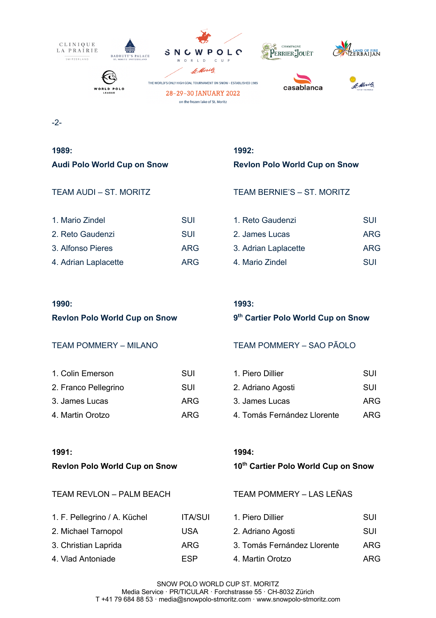

-2-

**1989: 1992:**

| 1. Mario Zindel      | SUI        | 1. Reto Gaudenzi     | SUI        |
|----------------------|------------|----------------------|------------|
| 2. Reto Gaudenzi     | SUI        | 2. James Lucas       | ARG        |
| 3. Alfonso Pieres    | <b>ARG</b> | 3. Adrian Laplacette | <b>ARG</b> |
| 4. Adrian Laplacette | ARG.       | 4. Mario Zindel      | <b>SUI</b> |

# **Audi Polo World Cup on Snow Revlon Polo World Cup on Snow**

TEAM AUDI – ST. MORITZ TEAM BERNIE'S – ST. MORITZ

| 1. Reto Gaudenzi     | SUI        |
|----------------------|------------|
| 2. James Lucas       | ARG        |
| 3. Adrian Laplacette | ARG        |
| 4. Mario Zindel      | <b>SUI</b> |

### **1990: 1993:**

| 1. Colin Emerson     | SUI  | 1. Piero Dillier            | SUI |
|----------------------|------|-----------------------------|-----|
| 2. Franco Pellegrino | SUI  | 2. Adriano Agosti           | SUI |
| 3. James Lucas       | ARG. | 3. James Lucas              | ARG |
| 4. Martin Orotzo     | ARG. | 4. Tomás Fernández Llorente | ARG |

**Revlon Polo World Cup on Snow 9th Cartier Polo World Cup on Snow**

# TEAM POMMERY – MILANO TEAM POMMERY – SAO PÃOLO

| 1. Piero Dillier            | SUI |
|-----------------------------|-----|
| 2. Adriano Agosti           | SUI |
| 3. James Lucas              | ARG |
| 4. Tomás Fernández Llorente | ARG |

| 1. F. Pellegrino / A. Küchel | <b>ITA/SUI</b> | 1. Piero Dillier            | SUI |
|------------------------------|----------------|-----------------------------|-----|
| 2. Michael Tarnopol          | USA            | 2. Adriano Agosti           | SUI |
| 3. Christian Laprida         | ARG            | 3. Tomás Fernández Llorente | AR( |
| 4. Vlad Antoniade.           | ESP            | 4. Martin Orotzo            | AR( |

### **1991: 1994:**

### **Revlon Polo World Cup on Snow 10th Cartier Polo World Cup on Snow**

TEAM REVLON – PALM BEACH TEAM POMMERY – LAS LEÑAS

| 1. Piero Dillier            | <b>SUI</b> |
|-----------------------------|------------|
| 2. Adriano Agosti           | <b>SUI</b> |
| 3. Tomás Fernández Llorente | ARG        |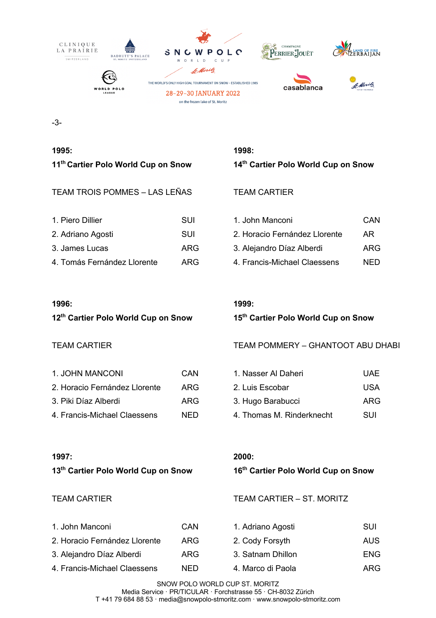

-3-

### TEAM TROIS POMMES – LAS LEÑAS TEAM CARTIER

| 1. Piero Dillier            | SUI | 1. John Manconi               | CAN        |
|-----------------------------|-----|-------------------------------|------------|
| 2. Adriano Agosti           | SUI | 2. Horacio Fernández Llorente | AR         |
| 3. James Lucas              | ARG | 3. Alejandro Díaz Alberdi     | <b>ARG</b> |
| 4. Tomás Fernández Llorente | ARG | 4. Francis-Michael Claessens  | <b>NED</b> |

### **1996: 1999:**

| 1. JOHN MANCONI               | CAN  | 1. Nasser Al Daheri       | UAF        |
|-------------------------------|------|---------------------------|------------|
| 2. Horacio Fernández Llorente | ARG  | 2. Luis Escobar           | <b>USA</b> |
| 3. Piki Díaz Alberdi          | ARG  | 3. Hugo Barabucci         | ARG        |
| 4. Francis-Michael Claessens  | NFD. | 4. Thomas M. Rinderknecht | SUI        |

# **1995: 1998: 11th Cartier Polo World Cup on Snow 14th Cartier Polo World Cup on Snow**

| 1. John Manconi               | CAN |
|-------------------------------|-----|
| 2. Horacio Fernández Llorente | AR. |
| 3. Alejandro Díaz Alberdi     | ARG |
| 4. Francis-Michael Claessens  | NFD |

**12th Cartier Polo World Cup on Snow 15th Cartier Polo World Cup on Snow**

TEAM CARTIER TEAM POMMERY – GHANTOOT ABU DHABI

| 1. Nasser Al Daheri       | UAE. |
|---------------------------|------|
| 2. Luis Escobar           | USA. |
| 3. Hugo Barabucci         | ARG  |
| 4. Thomas M. Rinderknecht | SUI  |

### **1997: 2000:**

### **13th Cartier Polo World Cup on Snow 16th Cartier Polo World Cup on Snow**

### TEAM CARTIER TEAM CARTIER – ST. MORITZ

| 1. John Manconi               | CAN  | 1. Adriano Agosti | SUI        |
|-------------------------------|------|-------------------|------------|
| 2. Horacio Fernández Llorente | ARG  | 2. Cody Forsyth   | AUS        |
| 3. Alejandro Díaz Alberdi     | ARG. | 3. Satnam Dhillon | <b>ENG</b> |
| 4. Francis-Michael Claessens  | NED. | 4. Marco di Paola | ARG        |

SNOW POLO WORLD CUP ST. MORITZ Media Service · PR/TICULAR · Forchstrasse 55 · CH-8032 Zürich T +41 79 684 88 53 · media@snowpolo-stmoritz.com · www.snowpolo-stmoritz.com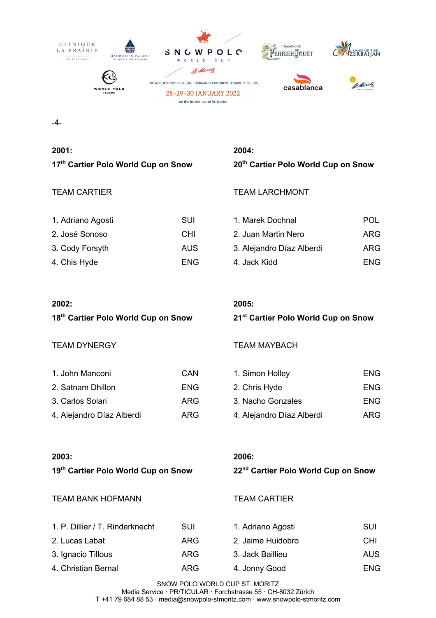

-4-

# **2001: 2004:**

| 1. Adriano Agosti | SUI        | 1. Marek Dochnal          | <b>POL</b> |
|-------------------|------------|---------------------------|------------|
| 2. José Sonoso    | <b>CHI</b> | 2. Juan Martin Nero       | ARG        |
| 3. Cody Forsyth   | <b>AUS</b> | 3. Alejandro Díaz Alberdi | <b>ARG</b> |
| 4. Chis Hyde      | ENG        | 4. Jack Kidd              | <b>ENG</b> |

# **17th Cartier Polo World Cup on Snow 20th Cartier Polo World Cup on Snow**

## TEAM CARTIER TEAM LARCHMONT

| 1. Marek Dochnal          | POL  |
|---------------------------|------|
| 2. Juan Martin Nero       | ARG  |
| 3. Alejandro Díaz Alberdi | ARG  |
| 4. Jack Kidd              | FNG. |

### **2002: 2005:**

## **18th Cartier Polo World Cup on Snow 21st Cartier Polo World Cup on Snow**

# TEAM DYNERGY TEAM MAYBACH

| 1. John Manconi           | CAN        | 1. Simon Holley           | <b>ENG</b> |
|---------------------------|------------|---------------------------|------------|
| 2. Satnam Dhillon         | ENG.       | 2. Chris Hyde             | <b>ENG</b> |
| 3. Carlos Solari          | ARG        | 3. Nacho Gonzales         | <b>ENG</b> |
| 4. Alejandro Díaz Alberdi | <b>ARG</b> | 4. Alejandro Díaz Alberdi | ARG        |

| 1. Simon Holley           | ENG |
|---------------------------|-----|
| 2. Chris Hyde             | ENG |
| 3. Nacho Gonzales         | ENG |
| 4. Alejandro Díaz Alberdi | ARG |

### **2003: 2006:**

# **19th Cartier Polo World Cup on Snow 22nd Cartier Polo World Cup on Snow**

### TEAM BANK HOFMANN TEAM CARTIER

| 1. P. Dillier / T. Rinderknecht | SUI  | 1. Adriano Agosti | SUI        |
|---------------------------------|------|-------------------|------------|
| 2. Lucas Labat                  | ARG  | 2. Jaime Huidobro | CHI.       |
| 3. Ignacio Tillous              | ARG. | 3. Jack Baillieu  | <b>AUS</b> |
| 4. Christian Bernal             | ARG  | 4. Jonny Good     | <b>ENG</b> |

SNOW POLO WORLD CUP ST. MORITZ Media Service · PR/TICULAR · Forchstrasse 55 · CH-8032 Zürich T +41 79 684 88 53 · media@snowpolo-stmoritz.com · www.snowpolo-stmoritz.com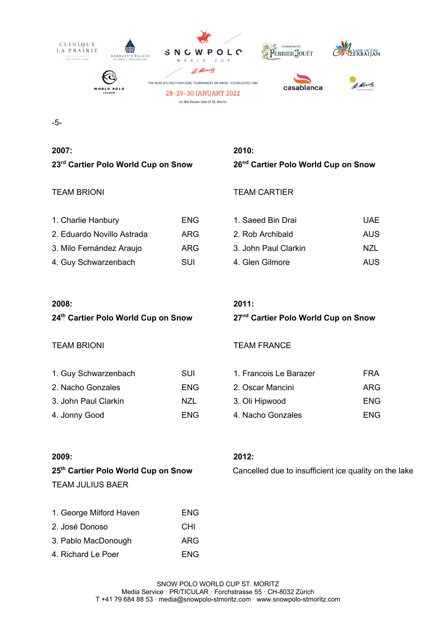

-5-

# **2007: 2010: 23rd Cartier Polo World Cup on Snow 26nd Cartier Polo World Cup on Snow**

## TEAM BRIONI TEAM CARTIER

| 1. Charlie Hanbury         | <b>ENG</b> |
|----------------------------|------------|
| 2. Eduardo Novillo Astrada | ARG        |
| 3. Milo Fernández Araujo   | ARG        |
| 4. Guy Schwarzenbach       | SUI        |

| 1. Guy Schwarzenbach | SUI  | 1. Francois Le Barazer | <b>FRA</b> |
|----------------------|------|------------------------|------------|
| 2. Nacho Gonzales    | ENG. | 2. Oscar Mancini       | ARG        |
| 3. John Paul Clarkin | NZL  | 3. Oli Hipwood         | <b>ENG</b> |
| 4. Jonny Good        | ENG  | 4. Nacho Gonzales      | <b>ENG</b> |

### **2008: 2011:**

# **24th Cartier Polo World Cup on Snow 27nd Cartier Polo World Cup on Snow**

1. Saeed Bin Drai New York Band UAE 2. Rob Archibald AUS 3. John Paul Clarkin NZL 4. Glen Gilmore **AUS** 

### TEAM BRIONI **TEAM FRANCE**

| 1. Francois Le Barazer | FRA |
|------------------------|-----|
| 2. Oscar Mancini       | ARG |
| 3. Oli Hipwood         | ENG |
| 4. Nacho Gonzales      | ENG |

### **2009: 2012:**

TEAM JULIUS BAER

| 1. George Milford Haven | ENG |
|-------------------------|-----|
| 2. José Donoso          | CHI |
| 3. Pablo MacDonough     | ARG |
| 4. Richard Le Poer      | ENG |

**25th Cartier Polo World Cup on Snow** Cancelled due to insufficient ice quality on the lake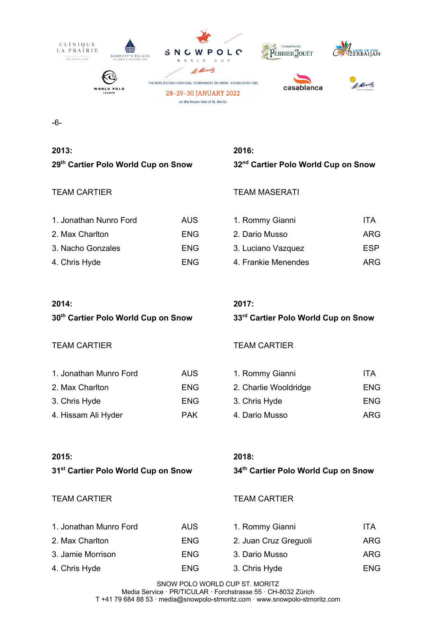

-6-

# **2013: 2016:**

| 1. Jonathan Nunro Ford | AUS.       | 1. Rommy Gianni     | ITA        |
|------------------------|------------|---------------------|------------|
| 2. Max Charlton        | ENG.       | 2. Dario Musso      | ARG        |
| 3. Nacho Gonzales      | <b>ENG</b> | 3. Luciano Vazquez  | <b>ESP</b> |
| 4. Chris Hyde          | ENG        | 4. Frankie Menendes | ARG        |

# **29th Cartier Polo World Cup on Snow 32nd Cartier Polo World Cup on Snow**

# TEAM CARTIER TEAM MASERATI

| 1. Rommy Gianni     | ITA |
|---------------------|-----|
| 2. Dario Musso      | ARG |
| 3. Luciano Vazquez  | ESP |
| 4. Frankie Menendes | ARG |

### **2014: 2017:**

# TEAM CARTIER TEAM CARTIER

| 1. Jonathan Munro Ford | AUS.       | 1. Rommy Gianni       | ITA        |
|------------------------|------------|-----------------------|------------|
| 2. Max Charlton        | <b>ENG</b> | 2. Charlie Wooldridge | <b>ENG</b> |
| 3. Chris Hyde          | <b>ENG</b> | 3. Chris Hyde         | <b>ENG</b> |
| 4. Hissam Ali Hyder    | <b>PAK</b> | 4. Dario Musso        | ARG        |

**30th Cartier Polo World Cup on Snow 33rd Cartier Polo World Cup on Snow**

| 1. Rommy Gianni       | ITA |
|-----------------------|-----|
| 2. Charlie Wooldridge | ENG |
| 3. Chris Hyde         | ENG |
| 4. Dario Musso        | ARG |

### **2015: 2018:**

# **31st Cartier Polo World Cup on Snow 34th Cartier Polo World Cup on Snow**

### TEAM CARTIER TEAM CARTIER

| 1. Jonathan Munro Ford | <b>AUS</b> | 1. Rommy Gianni       | ITA        |
|------------------------|------------|-----------------------|------------|
| 2. Max Charlton        | ENG        | 2. Juan Cruz Greguoli | <b>ARG</b> |
| 3. Jamie Morrison      | ENG.       | 3. Dario Musso        | <b>ARG</b> |
| 4. Chris Hyde          | <b>ENG</b> | 3. Chris Hyde         | <b>ENG</b> |

SNOW POLO WORLD CUP ST. MORITZ Media Service · PR/TICULAR · Forchstrasse 55 · CH-8032 Zürich T +41 79 684 88 53 · media@snowpolo-stmoritz.com · www.snowpolo-stmoritz.com